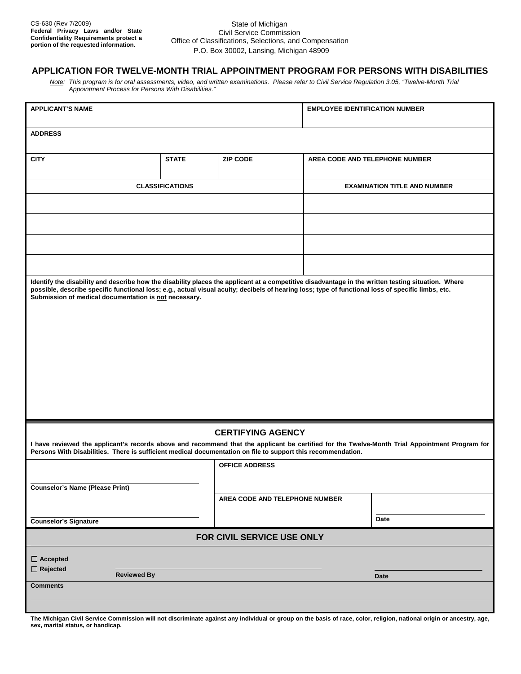## State of Michigan Civil Service Commission Office of Classifications, Selections, and Compensation P.O. Box 30002, Lansing, Michigan 48909

## **APPLICATION FOR TWELVE-MONTH TRIAL APPOINTMENT PROGRAM FOR PERSONS WITH DISABILITIES**

*Note: This program is for oral assessments, video, and written examinations. Please refer to Civil Service Regulation 3.05, "Twelve-Month Trial Appointment Process for Persons With Disabilities."* 

| <b>APPLICANT'S NAME</b>                                                                                                                                                                                                                                                                                                                                           |              |                                | <b>EMPLOYEE IDENTIFICATION NUMBER</b> |                                |
|-------------------------------------------------------------------------------------------------------------------------------------------------------------------------------------------------------------------------------------------------------------------------------------------------------------------------------------------------------------------|--------------|--------------------------------|---------------------------------------|--------------------------------|
| <b>ADDRESS</b>                                                                                                                                                                                                                                                                                                                                                    |              |                                |                                       |                                |
| <b>CITY</b>                                                                                                                                                                                                                                                                                                                                                       | <b>STATE</b> | <b>ZIP CODE</b>                |                                       | AREA CODE AND TELEPHONE NUMBER |
| <b>CLASSIFICATIONS</b>                                                                                                                                                                                                                                                                                                                                            |              |                                | <b>EXAMINATION TITLE AND NUMBER</b>   |                                |
|                                                                                                                                                                                                                                                                                                                                                                   |              |                                |                                       |                                |
|                                                                                                                                                                                                                                                                                                                                                                   |              |                                |                                       |                                |
|                                                                                                                                                                                                                                                                                                                                                                   |              |                                |                                       |                                |
|                                                                                                                                                                                                                                                                                                                                                                   |              |                                |                                       |                                |
| Identify the disability and describe how the disability places the applicant at a competitive disadvantage in the written testing situation. Where<br>possible, describe specific functional loss; e.g., actual visual acuity; decibels of hearing loss; type of functional loss of specific limbs, etc.<br>Submission of medical documentation is not necessary. |              |                                |                                       |                                |
|                                                                                                                                                                                                                                                                                                                                                                   |              |                                |                                       |                                |
|                                                                                                                                                                                                                                                                                                                                                                   |              |                                |                                       |                                |
|                                                                                                                                                                                                                                                                                                                                                                   |              |                                |                                       |                                |
|                                                                                                                                                                                                                                                                                                                                                                   |              |                                |                                       |                                |
|                                                                                                                                                                                                                                                                                                                                                                   |              |                                |                                       |                                |
|                                                                                                                                                                                                                                                                                                                                                                   |              |                                |                                       |                                |
|                                                                                                                                                                                                                                                                                                                                                                   |              |                                |                                       |                                |
| <b>CERTIFYING AGENCY</b>                                                                                                                                                                                                                                                                                                                                          |              |                                |                                       |                                |
| I have reviewed the applicant's records above and recommend that the applicant be certified for the Twelve-Month Trial Appointment Program for<br>Persons With Disabilities. There is sufficient medical documentation on file to support this recommendation.                                                                                                    |              |                                |                                       |                                |
|                                                                                                                                                                                                                                                                                                                                                                   |              | <b>OFFICE ADDRESS</b>          |                                       |                                |
| <b>Counselor's Name (Please Print)</b>                                                                                                                                                                                                                                                                                                                            |              |                                |                                       |                                |
|                                                                                                                                                                                                                                                                                                                                                                   |              | AREA CODE AND TELEPHONE NUMBER |                                       |                                |
| <b>Counselor's Signature</b>                                                                                                                                                                                                                                                                                                                                      |              |                                |                                       | Date                           |
| FOR CIVIL SERVICE USE ONLY                                                                                                                                                                                                                                                                                                                                        |              |                                |                                       |                                |
| $\Box$ Accepted                                                                                                                                                                                                                                                                                                                                                   |              |                                |                                       |                                |
| $\Box$ Rejected<br><b>Reviewed By</b>                                                                                                                                                                                                                                                                                                                             |              |                                |                                       | <b>Date</b>                    |
| <b>Comments</b>                                                                                                                                                                                                                                                                                                                                                   |              |                                |                                       |                                |
|                                                                                                                                                                                                                                                                                                                                                                   |              |                                |                                       |                                |

**The Michigan Civil Service Commission will not discriminate against any individual or group on the basis of race, color, religion, national origin or ancestry, age, sex, marital status, or handicap.**